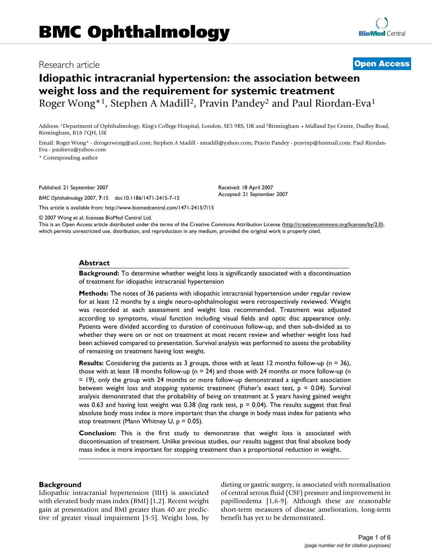# Research article **[Open Access](http://www.biomedcentral.com/info/about/charter/)**

# **Idiopathic intracranial hypertension: the association between weight loss and the requirement for systemic treatment** Roger Wong\*1, Stephen A Madill2, Pravin Pandey2 and Paul Riordan-Eva1

Address: 1Department of Ophthalmology, King's College Hospital, London, SE5 9RS, UK and 2Birmingham + Midland Eye Centre, Dudley Road, Birmingham, B18 7QH, UK

Email: Roger Wong\* - drrogerwong@aol.com; Stephen A Madill - smadill@yahoo.com; Pravin Pandey - pravinp@hotmail.com; Paul Riordan-Eva - paulreva@yahoo.com

\* Corresponding author

Published: 21 September 2007

*BMC Ophthalmology* 2007, **7**:15 doi:10.1186/1471-2415-7-15

[This article is available from: http://www.biomedcentral.com/1471-2415/7/15](http://www.biomedcentral.com/1471-2415/7/15)

Received: 18 April 2007 Accepted: 21 September 2007

© 2007 Wong et al; licensee BioMed Central Ltd.

This is an Open Access article distributed under the terms of the Creative Commons Attribution License [\(http://creativecommons.org/licenses/by/2.0\)](http://creativecommons.org/licenses/by/2.0), which permits unrestricted use, distribution, and reproduction in any medium, provided the original work is properly cited.

#### **Abstract**

**Background:** To determine whether weight loss is significantly associated with a discontinuation of treatment for idiopathic intracranial hypertension

**Methods:** The notes of 36 patients with idiopathic intracranial hypertension under regular review for at least 12 months by a single neuro-ophthalmologist were retrospectively reviewed. Weight was recorded at each assessment and weight loss recommended. Treatment was adjusted according to symptoms, visual function including visual fields and optic disc appearance only. Patients were divided according to duration of continuous follow-up, and then sub-divided as to whether they were on or not on treatment at most recent review and whether weight loss had been achieved compared to presentation. Survival analysis was performed to assess the probability of remaining on treatment having lost weight.

**Results:** Considering the patients as 3 groups, those with at least 12 months follow-up (n = 36), those with at least 18 months follow-up ( $n = 24$ ) and those with 24 months or more follow-up ( $n$ = 19), only the group with 24 months or more follow-up demonstrated a significant association between weight loss and stopping systemic treatment (Fisher's exact test,  $p = 0.04$ ). Survival analysis demonstrated that the probability of being on treatment at 5 years having gained weight was 0.63 and having lost weight was 0.38 (log rank test,  $p = 0.04$ ). The results suggest that final absolute body mass index is more important than the change in body mass index for patients who stop treatment (Mann Whitney U,  $p = 0.05$ ).

**Conclusion:** This is the first study to demonstrate that weight loss is associated with discontinuation of treatment. Unlike previous studies, our results suggest that final absolute body mass index is more important for stopping treatment than a proportional reduction in weight.

# **Background**

Idiopathic intracranial hypertension (IIH) is associated with elevated body mass index (BMI) [1,2]. Recent weight gain at presentation and BMI greater than 40 are predictive of greater visual impairment [3-5]. Weight loss, by dieting or gastric surgery, is associated with normalisation of central serous fluid (CSF) pressure and improvement in papilloedema [1,6-9]. Although these are reasonable short-term measures of disease amelioration, long-term benefit has yet to be demonstrated.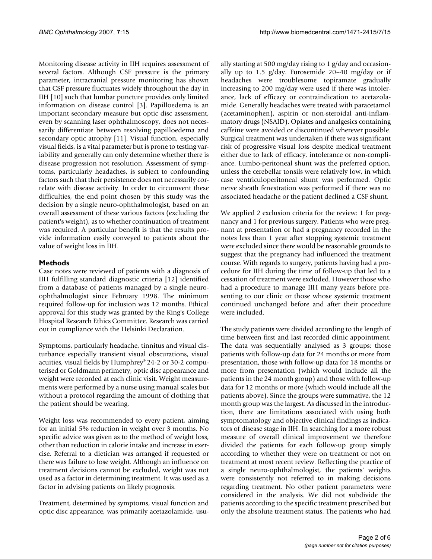Monitoring disease activity in IIH requires assessment of several factors. Although CSF pressure is the primary parameter, intracranial pressure monitoring has shown that CSF pressure fluctuates widely throughout the day in IIH [10] such that lumbar puncture provides only limited information on disease control [3]. Papilloedema is an important secondary measure but optic disc assessment, even by scanning laser ophthalmoscopy, does not necessarily differentiate between resolving papilloedema and secondary optic atrophy [11]. Visual function, especially visual fields, is a vital parameter but is prone to testing variability and generally can only determine whether there is disease progression not resolution. Assessment of symptoms, particularly headaches, is subject to confounding factors such that their persistence does not necessarily correlate with disease activity. In order to circumvent these difficulties, the end point chosen by this study was the decision by a single neuro-ophthalmologist, based on an overall assessment of these various factors (excluding the patient's weight), as to whether continuation of treatment was required. A particular benefit is that the results provide information easily conveyed to patients about the value of weight loss in IIH.

# **Methods**

Case notes were reviewed of patients with a diagnosis of IIH fulfilling standard diagnostic criteria [12] identified from a database of patients managed by a single neuroophthalmologist since February 1998. The minimum required follow-up for inclusion was 12 months. Ethical approval for this study was granted by the King's College Hospital Research Ethics Committee. Research was carried out in compliance with the Helsinki Declaration.

Symptoms, particularly headache, tinnitus and visual disturbance especially transient visual obscurations, visual acuities, visual fields by Humphrey® 24-2 or 30-2 computerised or Goldmann perimetry, optic disc appearance and weight were recorded at each clinic visit. Weight measurements were performed by a nurse using manual scales but without a protocol regarding the amount of clothing that the patient should be wearing.

Weight loss was recommended to every patient, aiming for an initial 5% reduction in weight over 3 months. No specific advice was given as to the method of weight loss, other than reduction in calorie intake and increase in exercise. Referral to a dietician was arranged if requested or there was failure to lose weight. Although an influence on treatment decisions cannot be excluded, weight was not used as a factor in determining treatment. It was used as a factor in advising patients on likely prognosis.

Treatment, determined by symptoms, visual function and optic disc appearance, was primarily acetazolamide, usually starting at 500 mg/day rising to 1 g/day and occasionally up to 1.5  $g$ /day. Furosemide 20–40 mg/day or if headaches were troublesome topiramate gradually increasing to 200 mg/day were used if there was intolerance, lack of efficacy or contraindication to acetazolamide. Generally headaches were treated with paracetamol (acetaminophen), aspirin or non-steroidal anti-inflammatory drugs (NSAID). Opiates and analgesics containing caffeine were avoided or discontinued wherever possible. Surgical treatment was undertaken if there was significant risk of progressive visual loss despite medical treatment either due to lack of efficacy, intolerance or non-compliance. Lumbo-peritoneal shunt was the preferred option, unless the cerebellar tonsils were relatively low, in which case ventriculoperitoneal shunt was performed. Optic nerve sheath fenestration was performed if there was no associated headache or the patient declined a CSF shunt.

We applied 2 exclusion criteria for the review: 1 for pregnancy and 1 for previous surgery. Patients who were pregnant at presentation or had a pregnancy recorded in the notes less than 1 year after stopping systemic treatment were excluded since there would be reasonable grounds to suggest that the pregnancy had influenced the treatment course. With regards to surgery, patients having had a procedure for IIH during the time of follow-up that led to a cessation of treatment were excluded. However those who had a procedure to manage IIH many years before presenting to our clinic or those whose systemic treatment continued unchanged before and after their procedure were included.

The study patients were divided according to the length of time between first and last recorded clinic appointment. The data was sequentially analysed as 3 groups: those patients with follow-up data for 24 months or more from presentation, those with follow-up data for 18 months or more from presentation (which would include all the patients in the 24 month group) and those with follow-up data for 12 months or more (which would include all the patients above). Since the groups were summative, the 12 month group was the largest. As discussed in the introduction, there are limitations associated with using both symptomatology and objective clinical findings as indicators of disease stage in IIH. In searching for a more robust measure of overall clinical improvement we therefore divided the patients for each follow-up group simply according to whether they were on treatment or not on treatment at most recent review. Reflecting the practice of a single neuro-ophthalmologist, the patients' weights were consistently not referred to in making decisions regarding treatment. No other patient parameters were considered in the analysis. We did not subdivide the patients according to the specific treatment prescribed but only the absolute treatment status. The patients who had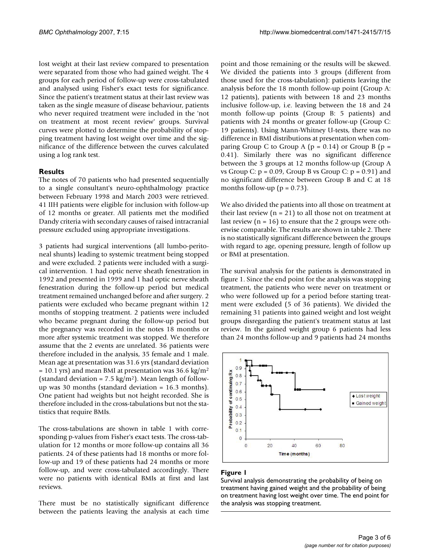lost weight at their last review compared to presentation were separated from those who had gained weight. The 4 groups for each period of follow-up were cross-tabulated and analysed using Fisher's exact tests for significance. Since the patient's treatment status at their last review was taken as the single measure of disease behaviour, patients who never required treatment were included in the 'not on treatment at most recent review' groups. Survival curves were plotted to determine the probability of stopping treatment having lost weight over time and the significance of the difference between the curves calculated using a log rank test.

# **Results**

The notes of 70 patients who had presented sequentially to a single consultant's neuro-ophthalmology practice between February 1998 and March 2003 were retrieved. 41 IIH patients were eligible for inclusion with follow-up of 12 months or greater. All patients met the modified Dandy criteria with secondary causes of raised intracranial pressure excluded using appropriate investigations.

3 patients had surgical interventions (all lumbo-peritoneal shunts) leading to systemic treatment being stopped and were excluded. 2 patients were included with a surgical intervention. 1 had optic nerve sheath fenestration in 1992 and presented in 1999 and 1 had optic nerve sheath fenestration during the follow-up period but medical treatment remained unchanged before and after surgery. 2 patients were excluded who became pregnant within 12 months of stopping treatment. 2 patients were included who became pregnant during the follow-up period but the pregnancy was recorded in the notes 18 months or more after systemic treatment was stopped. We therefore assume that the 2 events are unrelated. 36 patients were therefore included in the analysis, 35 female and 1 male. Mean age at presentation was 31.6 yrs (standard deviation  $= 10.1$  yrs) and mean BMI at presentation was 36.6 kg/m<sup>2</sup> (standard deviation =  $7.5 \text{ kg/m}^2$ ). Mean length of followup was 30 months (standard deviation = 16.3 months). One patient had weights but not height recorded. She is therefore included in the cross-tabulations but not the statistics that require BMIs.

The cross-tabulations are shown in table 1 with corresponding p-values from Fisher's exact tests. The cross-tabulation for 12 months or more follow-up contains all 36 patients. 24 of these patients had 18 months or more follow-up and 19 of these patients had 24 months or more follow-up, and were cross-tabulated accordingly. There were no patients with identical BMIs at first and last reviews.

There must be no statistically significant difference between the patients leaving the analysis at each time

point and those remaining or the results will be skewed. We divided the patients into 3 groups (different from those used for the cross-tabulation): patients leaving the analysis before the 18 month follow-up point (Group A: 12 patients), patients with between 18 and 23 months inclusive follow-up, i.e. leaving between the 18 and 24 month follow-up points (Group B: 5 patients) and patients with 24 months or greater follow-up (Group C: 19 patients). Using Mann-Whitney U-tests, there was no difference in BMI distributions at presentation when comparing Group C to Group A ( $p = 0.14$ ) or Group B ( $p =$ 0.41). Similarly there was no significant difference between the 3 groups at 12 months follow-up (Group A vs Group C:  $p = 0.09$ , Group B vs Group C:  $p = 0.91$  and no significant difference between Group B and C at 18 months follow-up ( $p = 0.73$ ).

We also divided the patients into all those on treatment at their last review  $(n = 21)$  to all those not on treatment at last review  $(n = 16)$  to ensure that the 2 groups were otherwise comparable. The results are shown in table 2. There is no statistically significant difference between the groups with regard to age, opening pressure, length of follow up or BMI at presentation.

The survival analysis for the patients is demonstrated in figure 1. Since the end point for the analysis was stopping treatment, the patients who were never on treatment or who were followed up for a period before starting treatment were excluded (5 of 36 patients). We divided the remaining 31 patients into gained weight and lost weight groups disregarding the patient's treatment status at last review. In the gained weight group 6 patients had less than 24 months follow-up and 9 patients had 24 months



#### Figure 1

Survival analysis demonstrating the probability of being on treatment having gained weight and the probability of being on treatment having lost weight over time. The end point for the analysis was stopping treatment.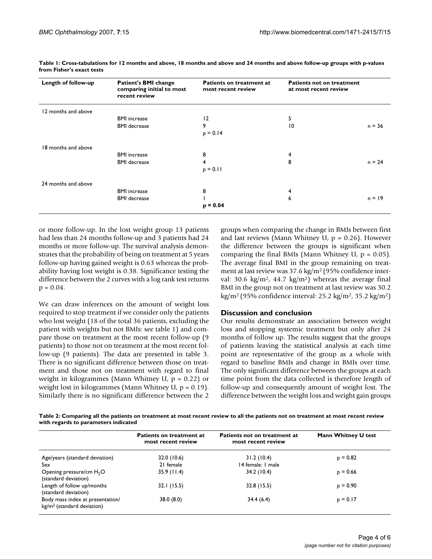| Length of follow-up | Patient's BMI change<br>comparing initial to most<br>recent review | <b>Patients on treatment at</b><br>most recent review | <b>Patients not on treatment</b><br>at most recent review |          |
|---------------------|--------------------------------------------------------------------|-------------------------------------------------------|-----------------------------------------------------------|----------|
| 12 months and above |                                                                    |                                                       |                                                           |          |
|                     | <b>BMI</b> increase                                                | 12                                                    | 5                                                         |          |
|                     | <b>BMI</b> decrease                                                | 9                                                     | 10                                                        | $n = 36$ |
|                     |                                                                    | $p = 0.14$                                            |                                                           |          |
| 18 months and above |                                                                    |                                                       |                                                           |          |
|                     | <b>BMI</b> increase                                                | 8                                                     | 4                                                         |          |
|                     | <b>BMI</b> decrease                                                | 4                                                     | 8                                                         | $n = 24$ |
|                     |                                                                    | $p = 0.11$                                            |                                                           |          |
| 24 months and above |                                                                    |                                                       |                                                           |          |
|                     | <b>BMI</b> increase                                                | 8                                                     | 4                                                         |          |
|                     | <b>BMI</b> decrease                                                |                                                       | 6                                                         | $n = 19$ |
|                     |                                                                    | $p = 0.04$                                            |                                                           |          |

**Table 1: Cross-tabulations for 12 months and above, 18 months and above and 24 months and above follow-up groups with p-values from Fisher's exact tests**

or more follow-up. In the lost weight group 13 patients had less than 24 months follow-up and 3 patients had 24 months or more follow-up. The survival analysis demonstrates that the probability of being on treatment at 5 years follow-up having gained weight is 0.63 whereas the probability having lost weight is 0.38. Significance testing the difference between the 2 curves with a log rank test returns  $p = 0.04$ .

We can draw inferences on the amount of weight loss required to stop treatment if we consider only the patients who lost weight (18 of the total 36 patients, excluding the patient with weights but not BMIs: see table 1) and compare those on treatment at the most recent follow-up (9 patients) to those not on treatment at the most recent follow-up (9 patients). The data are presented in table 3. There is no significant difference between those on treatment and those not on treatment with regard to final weight in kilogrammes (Mann Whitney U,  $p = 0.22$ ) or weight lost in kilogrammes (Mann Whitney  $U$ ,  $p = 0.19$ ). Similarly there is no significant difference between the 2

groups when comparing the change in BMIs between first and last reviews (Mann Whitney U,  $p = 0.26$ ). However the difference between the groups is significant when comparing the final BMIs (Mann Whitney U,  $p = 0.05$ ). The average final BMI in the group remaining on treatment at last review was 37.6 kg/m<sup>2</sup> (95% confidence interval: 30.6 kg/m<sup>2</sup>, 44.7 kg/m<sup>2</sup>) whereas the average final BMI in the group not on treatment at last review was 30.2 kg/m<sup>2</sup> (95% confidence interval: 25.2 kg/m<sup>2</sup>, 35.2 kg/m<sup>2</sup>)

# **Discussion and conclusion**

Our results demonstrate an association between weight loss and stopping systemic treatment but only after 24 months of follow up. The results suggest that the groups of patients leaving the statistical analysis at each time point are representative of the group as a whole with regard to baseline BMIs and change in BMIs over time. The only significant difference between the groups at each time point from the data collected is therefore length of follow-up and consequently amount of weight lost. The difference between the weight loss and weight gain groups

**Table 2: Comparing all the patients on treatment at most recent review to all the patients not on treatment at most recent review with regards to parameters indicated**

|                                                                  | Patients on treatment at<br>most recent review | Patients not on treatment at<br>most recent review | Mann Whitney U test |
|------------------------------------------------------------------|------------------------------------------------|----------------------------------------------------|---------------------|
| Age/years (standard deviation)                                   | 32.0 (10.6)                                    | 31.2(10.4)                                         | $p = 0.82$          |
| Sex                                                              | 21 female                                      | 14 female: 1 male                                  |                     |
| Opening pressure/cm H <sub>2</sub> O<br>(standard deviation)     | 35.9(11.4)                                     | 34.2 (10.4)                                        | $p = 0.66$          |
| Length of follow up/months<br>(standard deviation)               | 32.1(15.5)                                     | 32.8 (15.5)                                        | $p = 0.90$          |
| Body mass index at presentation/<br>$kg/m2$ (standard deviation) | 38.0(8.0)                                      | 34.4(6.4)                                          | $p = 0.17$          |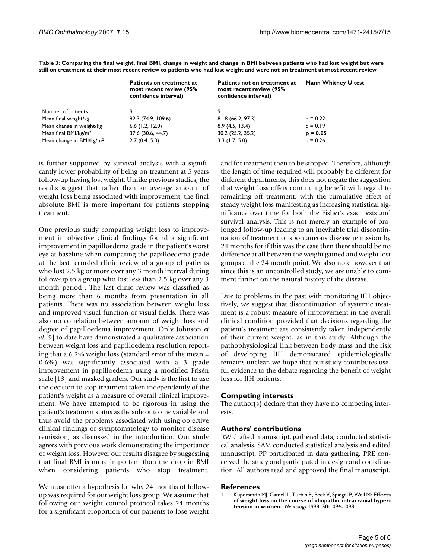|                                      | <b>Patients on treatment at</b><br>most recent review (95%<br>confidence interval) | Patients not on treatment at<br>most recent review (95%<br>confidence interval) | Mann Whitney U test |
|--------------------------------------|------------------------------------------------------------------------------------|---------------------------------------------------------------------------------|---------------------|
| Number of patients                   |                                                                                    | q                                                                               |                     |
| Mean final weight/kg                 | 92.3 (74.9, 109.6)                                                                 | 81.8 (66.2, 97.3)                                                               | $p = 0.22$          |
| Mean change in weight/kg             | $6.6$ (1.2, 12.0)                                                                  | 8.9(4.5, 13.4)                                                                  | $p = 0.19$          |
| Mean final BMI/kg/m <sup>2</sup>     | 37.6 (30.6, 44.7)                                                                  | 30.2 (25.2, 35.2)                                                               | $p = 0.05$          |
| Mean change in BMI/kg/m <sup>2</sup> | 2.7(0.4, 5.0)                                                                      | 3.3(1.7, 5.0)                                                                   | $p = 0.26$          |

**Table 3: Comparing the final weight, final BMI, change in weight and change in BMI between patients who had lost weight but were still on treatment at their most recent review to patients who had lost weight and were not on treatment at most recent review**

is further supported by survival analysis with a significantly lower probability of being on treatment at 5 years follow-up having lost weight. Unlike previous studies, the results suggest that rather than an average amount of weight loss being associated with improvement, the final absolute BMI is more important for patients stopping treatment.

One previous study comparing weight loss to improvement in objective clinical findings found a significant improvement in papilloedema grade in the patient's worst eye at baseline when comparing the papilloedema grade at the last recorded clinic review of a group of patients who lost 2.5 kg or more over any 3 month interval during follow-up to a group who lost less than 2.5 kg over any 3 month period<sup>1</sup>. The last clinic review was classified as being more than 6 months from presentation in all patients. There was no association between weight loss and improved visual function or visual fields. There was also no correlation between amount of weight loss and degree of papilloedema improvement. Only Johnson *et al.*[9] to date have demonstrated a qualitative association between weight loss and papilloedema resolution reporting that a 6.2% weight loss (standard error of the mean = 0.6%) was significantly associated with a 3 grade improvement in papilloedema using a modified Frisén scale [13] and masked graders. Our study is the first to use the decision to stop treatment taken independently of the patient's weight as a measure of overall clinical improvement. We have attempted to be rigorous in using the patient's treatment status as the sole outcome variable and thus avoid the problems associated with using objective clinical findings or symptomatology to monitor disease remission, as discussed in the introduction. Our study agrees with previous work demonstrating the importance of weight loss. However our results disagree by suggesting that final BMI is more important than the drop in BMI when considering patients who stop treatment.

We must offer a hypothesis for why 24 months of followup was required for our weight loss group. We assume that following our weight control protocol takes 24 months for a significant proportion of our patients to lose weight

and for treatment then to be stopped. Therefore, although the length of time required will probably be different for different departments, this does not negate the suggestion that weight loss offers continuing benefit with regard to remaining off treatment, with the cumulative effect of steady weight loss manifesting as increasing statistical significance over time for both the Fisher's exact tests and survival analysis. This is not merely an example of prolonged follow-up leading to an inevitable trial discontinuation of treatment or spontaneous disease remission by 24 months for if this was the case then there should be no difference at all between the weight gained and weight lost groups at the 24 month point. We also note however that since this is an uncontrolled study, we are unable to comment further on the natural history of the disease.

Due to problems in the past with monitoring IIH objectively, we suggest that discontinuation of systemic treatment is a robust measure of improvement in the overall clinical condition provided that decisions regarding the patient's treatment are consistently taken independently of their current weight, as in this study. Although the pathophysiological link between body mass and the risk of developing IIH demonstrated epidemiologically remains unclear, we hope that our study contributes useful evidence to the debate regarding the benefit of weight loss for IIH patients.

# **Competing interests**

The author(s) declare that they have no competing interests.

# **Authors' contributions**

RW drafted manuscript, gathered data, conducted statistical analysis. SAM conducted statistical analysis and edited manuscript. PP participated in data gathering. PRE conceived the study and participated in design and coordination. All authors read and approved the final manuscript.

#### **References**

1. Kupersmith MJ, Gamell L, Turbin R, Peck V, Spiegel P, Wall M: **[Effects](http://www.ncbi.nlm.nih.gov/entrez/query.fcgi?cmd=Retrieve&db=PubMed&dopt=Abstract&list_uids=9566400) [of weight loss on the course of idiopathic intracranial hyper](http://www.ncbi.nlm.nih.gov/entrez/query.fcgi?cmd=Retrieve&db=PubMed&dopt=Abstract&list_uids=9566400)[tension in women.](http://www.ncbi.nlm.nih.gov/entrez/query.fcgi?cmd=Retrieve&db=PubMed&dopt=Abstract&list_uids=9566400)** *Neurology* 1998, **50:**1094-1098.